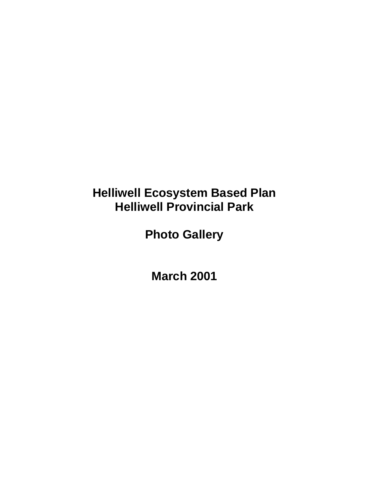## **Helliwell Ecosystem Based Plan Helliwell Provincial Park**

**Photo Gallery**

**March 2001**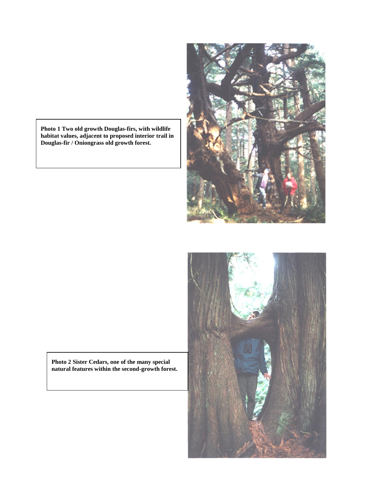**Photo 1 Two old growth Douglas-firs, with wildlife habitat values, adjacent to proposed interior trail in Douglas-fir / Oniongrass old growth forest.**





**Photo 2 Sister Cedars, one of the many special natural features within the second-growth forest.**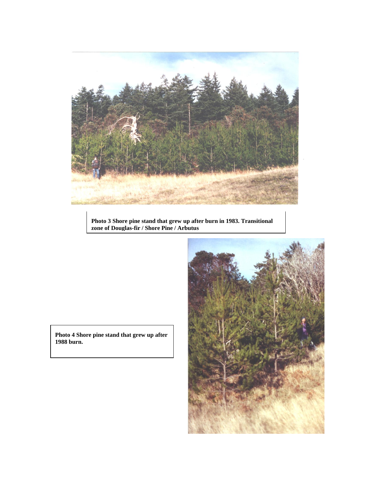

**Photo 3 Shore pine stand that grew up after burn in 1983. Transitional zone of Douglas-fir / Shore Pine / Arbutus**



**Photo 4 Shore pine stand that grew up after 1988 burn.**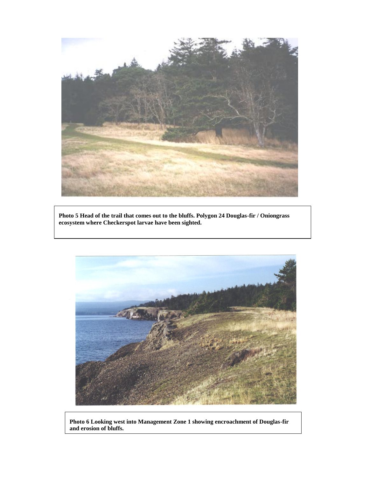

**Photo 5 Head of the trail that comes out to the bluffs. Polygon 24 Douglas-fir / Oniongrass ecosystem where Checkerspot larvae have been sighted.**



**Photo 6 Looking west into Management Zone 1 showing encroachment of Douglas-fir and erosion of bluffs.**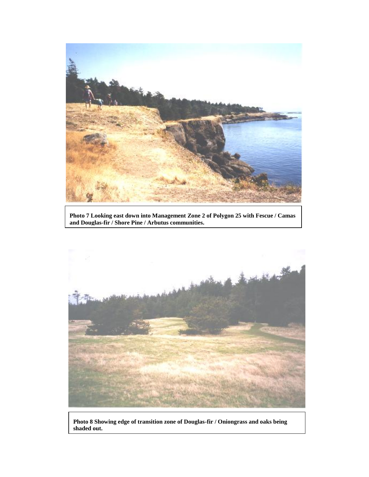

**Photo 7 Looking east down into Management Zone 2 of Polygon 25 with Fescue / Camas and Douglas-fir / Shore Pine / Arbutus communities.**



**Photo 8 Showing edge of transition zone of Douglas-fir / Oniongrass and oaks being shaded out.**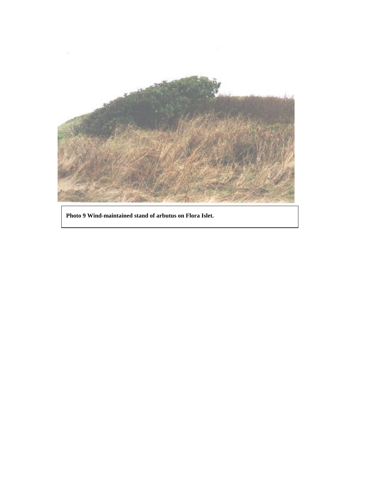

**Photo 9 Wind-maintained stand of arbutus on Flora Islet.**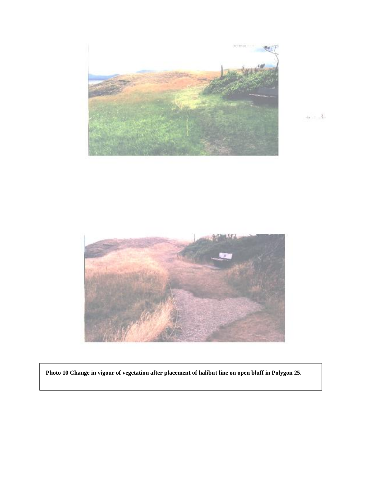

 $\alpha$  ,  $\gamma = \frac{3}{2}$ 



**Photo 10 Change in vigour of vegetation after placement of halibut line on open bluff in Polygon 25.**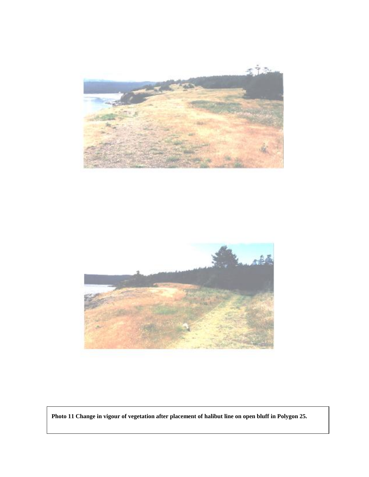



**Photo 11 Change in vigour of vegetation after placement of halibut line on open bluff in Polygon 25.**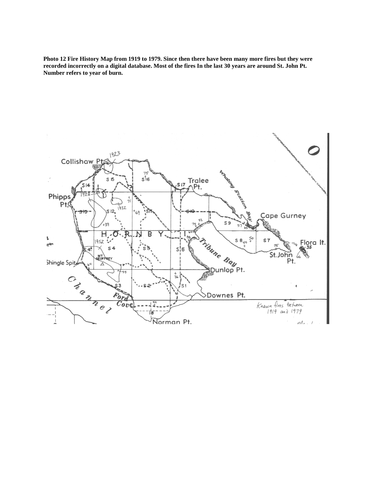**Photo 12 Fire History Map from 1919 to 1979. Since then there have been many more fires but they were recorded incorrectly on a digital database. Most of the fires In the last 30 years are around St. John Pt. Number refers to year of burn.**

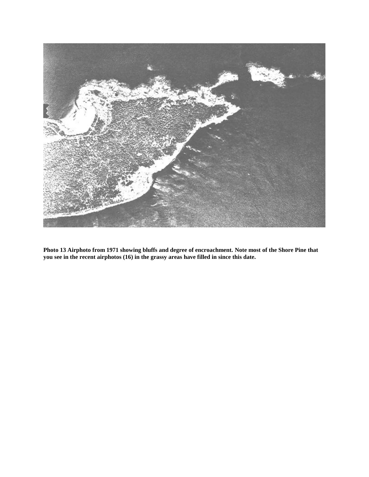

**Photo 13 Airphoto from 1971 showing bluffs and degree of encroachment. Note most of the Shore Pine that you see in the recent airphotos (16) in the grassy areas have filled in since this date.**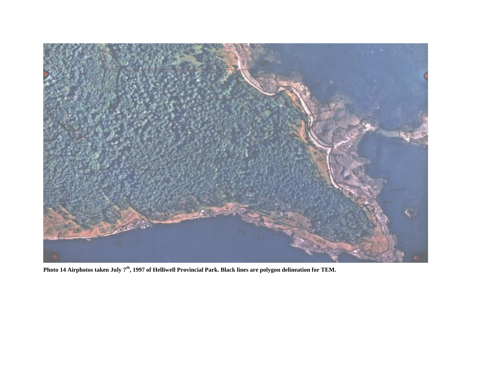

**Photo 14 Airphotos taken July 7th, 1997 of Helliwell Provincial Park. Black lines are polygon delineation for TEM.**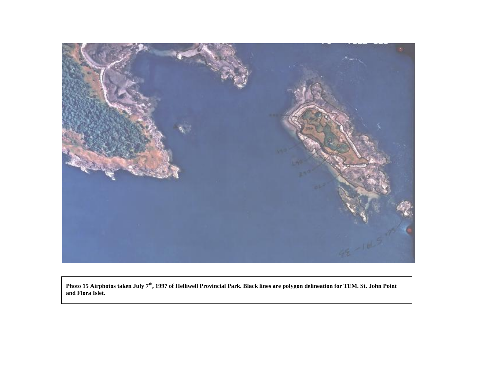

**Photo 15 Airphotos taken July 7th, 1997 of Helliwell Provincial Park. Black lines are polygon delineation for TEM. St. John Point and Flora Islet.**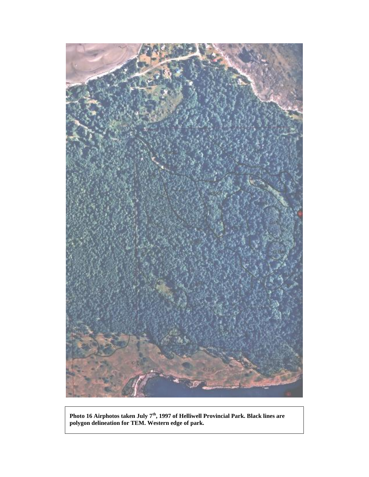

**Photo 16 Airphotos taken July 7th, 1997 of Helliwell Provincial Park. Black lines are polygon delineation for TEM. Western edge of park.**